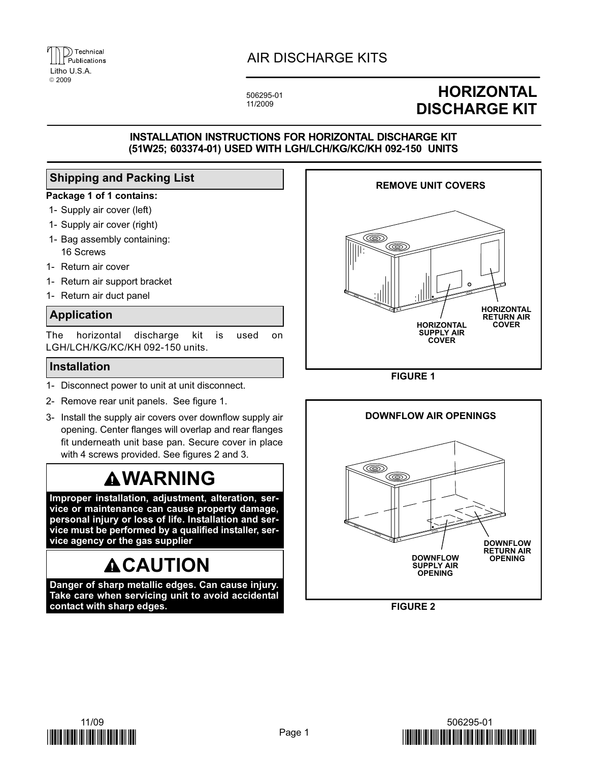

### AIR DISCHARGE KITS

506295−01 11/2009

## **HORIZONTAL** DISCHARGE KIT

#### INSTALLATION INSTRUCTIONS FOR HORIZONTAL DISCHARGE KIT (51W25; 603374−01) USED WITH LGH/LCH/KG/KC/KH 092−150 UNITS

#### Shipping and Packing List

#### Package 1 of 1 contains:

- 1− Supply air cover (left)
- 1− Supply air cover (right)
- 1− Bag assembly containing: 16 Screws
- 1− Return air cover
- 1− Return air support bracket
- 1− Return air duct panel

#### Application

The horizontal discharge kit is used on LGH/LCH/KG/KC/KH 092−150 units.

#### Installation

- 1− Disconnect power to unit at unit disconnect.
- 2− Remove rear unit panels. See figure 1.
- 3− Install the supply air covers over downflow supply air opening. Center flanges will overlap and rear flanges fit underneath unit base pan. Secure cover in place with 4 screws provided. See figures 2 and 3.

## **AWARNING**

Improper installation, adjustment, alteration, service or maintenance can cause property damage, personal injury or loss of life. Installation and service must be performed by a qualified installer, service agency or the gas supplier

# **ACAUTION**

Danger of sharp metallic edges. Can cause injury. Take care when servicing unit to avoid accidental contact with sharp edges.



FIGURE 1



FIGURE 2

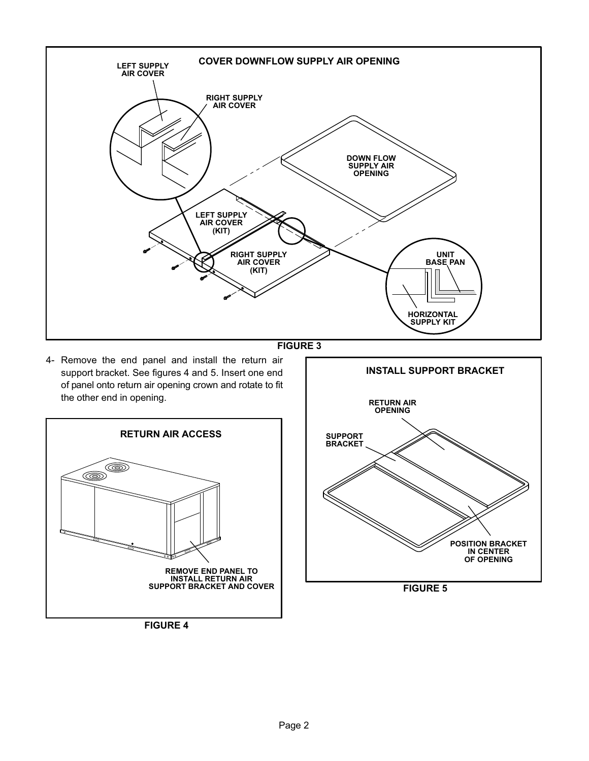

![](_page_1_Figure_1.jpeg)